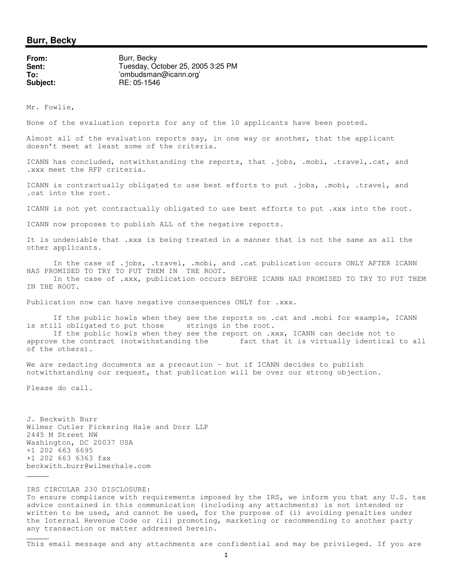## **Burr, Becky**

| Burr, Becky                       |
|-----------------------------------|
| Tuesday, October 25, 2005 3:25 PM |
| 'ombudsman@icann.org'             |
| RE: 05-1546                       |
|                                   |

Mr. Fowlie,

None of the evaluation reports for any of the 10 applicants have been posted.

Almost all of the evaluation reports say, in one way or another, that the applicant doesn't meet at least some of the criteria.

ICANN has concluded, notwithstanding the reports, that .jobs, .mobi, .travel,.cat, and .xxx meet the RFP criteria.

ICANN is contractually obligated to use best efforts to put .jobs, .mobi, .travel, and .cat into the root.

ICANN is not yet contractually obligated to use best efforts to put .xxx into the root.

ICANN now proposes to publish ALL of the negative reports.

It is undeniable that .xxx is being treated in a manner that is not the same as all the other applicants.

In the case of .jobs, .travel, .mobi, and .cat publication occurs ONLY AFTER ICANN HAS PROMISED TO TRY TO PUT THEM IN THE ROOT. In the case of .xxx, publication occurs BEFORE ICANN HAS PROMISED TO TRY TO PUT THEM IN THE ROOT.

Publication now can have negative consequences ONLY for .xxx.

If the public howls when they see the reports on .cat and .mobi for example, ICANN is still obligated to put those strings in the root.

If the public howls when they see the report on .xxx, ICANN can decide not to approve the contract (notwithstanding the fact that it is virtually identical to all of the others).

We are redacting documents as a precaution - but if ICANN decides to publish notwithstanding our request, that publication will be over our strong objection.

Please do call.

 $\overline{\phantom{a}}$ 

 $\overline{\phantom{a}}$ 

J. Beckwith Burr Wilmer Cutler Pickering Hale and Dorr LLP 2445 M Street NW Washington, DC 20037 USA +1 202 663 6695 +1 202 663 6363 fax beckwith.burr@wilmerhale.com

IRS CIRCULAR 230 DISCLOSURE: To ensure compliance with requirements imposed by the IRS, we inform you that any U.S. tax advice contained in this communication (including any attachments) is not intended or written to be used, and cannot be used, for the purpose of (i) avoiding penalties under the Internal Revenue Code or (ii) promoting, marketing or recommending to another party any transaction or matter addressed herein.

This email message and any attachments are confidential and may be privileged. If you are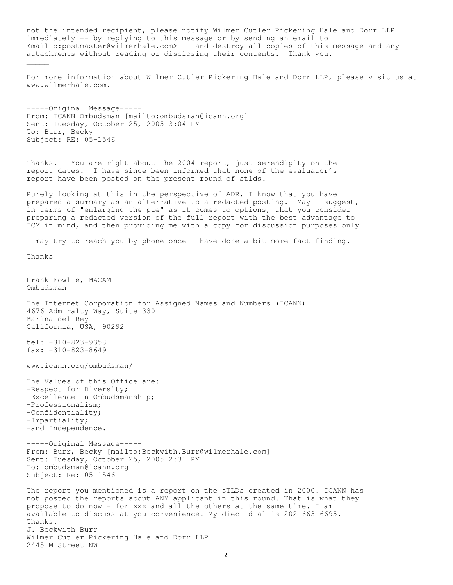not the intended recipient, please notify Wilmer Cutler Pickering Hale and Dorr LLP immediately -- by replying to this message or by sending an email to <mailto:postmaster@wilmerhale.com> -- and destroy all copies of this message and any attachments without reading or disclosing their contents. Thank you.  $\overline{\phantom{a}}$ For more information about Wilmer Cutler Pickering Hale and Dorr LLP, please visit us at www.wilmerhale.com. -----Original Message----- From: ICANN Ombudsman [mailto:ombudsman@icann.org] Sent: Tuesday, October 25, 2005 3:04 PM To: Burr, Becky Subject: RE: 05-1546 Thanks. You are right about the 2004 report, just serendipity on the report dates. I have since been informed that none of the evaluator's report have been posted on the present round of stlds. Purely looking at this in the perspective of ADR, I know that you have prepared a summary as an alternative to a redacted posting. May I suggest, in terms of "enlarging the pie" as it comes to options, that you consider preparing a redacted version of the full report with the best advantage to ICM in mind, and then providing me with a copy for discussion purposes only I may try to reach you by phone once I have done a bit more fact finding. Thanks Frank Fowlie, MACAM Ombudsman The Internet Corporation for Assigned Names and Numbers (ICANN) 4676 Admiralty Way, Suite 330 Marina del Rey California, USA, 90292 tel: +310-823-9358 fax: +310-823-8649 www.icann.org/ombudsman/ The Values of this Office are: -Respect for Diversity; -Excellence in Ombudsmanship; -Professionalism; -Confidentiality; -Impartiality; -and Independence. -----Original Message----- From: Burr, Becky [mailto:Beckwith.Burr@wilmerhale.com] Sent: Tuesday, October 25, 2005 2:31 PM To: ombudsman@icann.org Subject: Re: 05-1546 The report you mentioned is a report on the sTLDs created in 2000. ICANN has not posted the reports about ANY applicant in this round. That is what they propose to do now - for xxx and all the others at the same time. I am available to discuss at you convenience. My diect dial is 202 663 6695. Thanks. J. Beckwith Burr Wilmer Cutler Pickering Hale and Dorr LLP 2445 M Street NW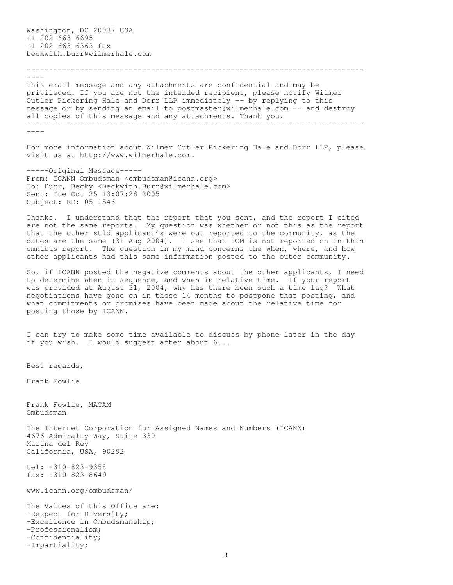Washington, DC 20037 USA +1 202 663 6695 +1 202 663 6363 fax beckwith.burr@wilmerhale.com

 $---$ 

This email message and any attachments are confidential and may be privileged. If you are not the intended recipient, please notify Wilmer Cutler Pickering Hale and Dorr LLP immediately -- by replying to this message or by sending an email to postmaster@wilmerhale.com -- and destroy all copies of this message and any attachments. Thank you. ----------------------------------------------------------------------------

----------------------------------------------------------------------------

----

For more information about Wilmer Cutler Pickering Hale and Dorr LLP, please visit us at http://www.wilmerhale.com.

-----Original Message----- From: ICANN Ombudsman <ombudsman@icann.org> To: Burr, Becky <Beckwith.Burr@wilmerhale.com> Sent: Tue Oct 25 13:07:28 2005 Subject: RE: 05-1546

Thanks. I understand that the report that you sent, and the report I cited are not the same reports. My question was whether or not this as the report that the other stld applicant's were out reported to the community, as the dates are the same (31 Aug 2004). I see that ICM is not reported on in this omnibus report. The question in my mind concerns the when, where, and how other applicants had this same information posted to the outer community.

So, if ICANN posted the negative comments about the other applicants, I need to determine when in sequence, and when in relative time. If your report was provided at August 31, 2004, why has there been such a time lag? What negotiations have gone on in those 14 months to postpone that posting, and what commitments or promises have been made about the relative time for posting those by ICANN.

I can try to make some time available to discuss by phone later in the day if you wish. I would suggest after about  $6...$ 

Best regards,

Frank Fowlie

Frank Fowlie, MACAM Ombudsman

The Internet Corporation for Assigned Names and Numbers (ICANN) 4676 Admiralty Way, Suite 330 Marina del Rey California, USA, 90292

tel: +310-823-9358 fax: +310-823-8649

www.icann.org/ombudsman/

The Values of this Office are: -Respect for Diversity; -Excellence in Ombudsmanship; -Professionalism; -Confidentiality; -Impartiality;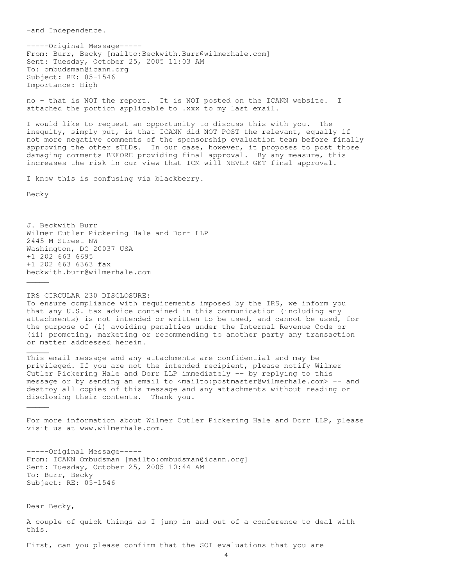-----Original Message----- From: Burr, Becky [mailto:Beckwith.Burr@wilmerhale.com] Sent: Tuesday, October 25, 2005 11:03 AM To: ombudsman@icann.org Subject: RE: 05-1546 Importance: High

no - that is NOT the report. It is NOT posted on the ICANN website. I attached the portion applicable to .xxx to my last email.

I would like to request an opportunity to discuss this with you. The inequity, simply put, is that ICANN did NOT POST the relevant, equally if not more negative comments of the sponsorship evaluation team before finally approving the other sTLDs. In our case, however, it proposes to post those damaging comments BEFORE providing final approval. By any measure, this increases the risk in our view that ICM will NEVER GET final approval.

I know this is confusing via blackberry.

Becky

 $\overline{\phantom{a}}$ 

 $\overline{\phantom{a}}$ 

 $\overline{\phantom{a}}$ 

J. Beckwith Burr Wilmer Cutler Pickering Hale and Dorr LLP 2445 M Street NW Washington, DC 20037 USA +1 202 663 6695 +1 202 663 6363 fax beckwith.burr@wilmerhale.com

-and Independence. IRS CIRCULAR 230 DISCLOSURE: To ensure compliance with requirements imposed by the IRS, we inform you that any U.S. tax advice contained in this communication (including any attachments) is not intended or written to be used, and cannot be used, for the purpose of (i) avoiding penalties under the Internal Revenue Code or (ii) promoting, marketing or recommending to another party any transaction or matter addressed herein.

This email message and any attachments are confidential and may be privileged. If you are not the intended recipient, please notify Wilmer Cutler Pickering Hale and Dorr LLP immediately -- by replying to this message or by sending an email to <mailto:postmaster@wilmerhale.com> -- and destroy all copies of this message and any attachments without reading or disclosing their contents. Thank you.

For more information about Wilmer Cutler Pickering Hale and Dorr LLP, please visit us at www.wilmerhale.com.

-----Original Message----- From: ICANN Ombudsman [mailto:ombudsman@icann.org] Sent: Tuesday, October 25, 2005 10:44 AM To: Burr, Becky Subject: RE: 05-1546

Dear Becky,

A couple of quick things as I jump in and out of a conference to deal with this.

First, can you please confirm that the SOI evaluations that you are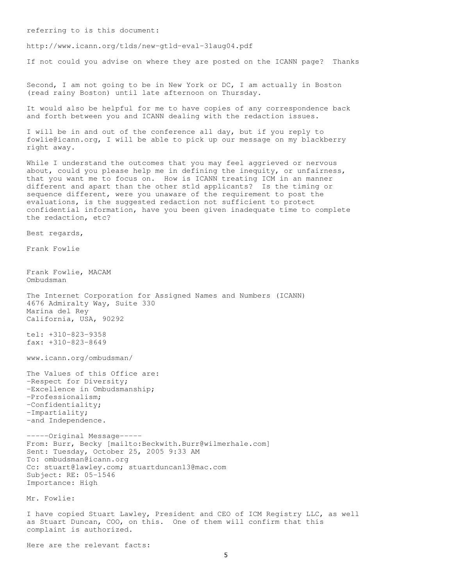referring to is this document:

http://www.icann.org/tlds/new-gtld-eval-31aug04.pdf

If not could you advise on where they are posted on the ICANN page? Thanks

Second, I am not going to be in New York or DC, I am actually in Boston (read rainy Boston) until late afternoon on Thursday.

It would also be helpful for me to have copies of any correspondence back and forth between you and ICANN dealing with the redaction issues.

I will be in and out of the conference all day, but if you reply to fowlie@icann.org, I will be able to pick up our message on my blackberry right away.

While I understand the outcomes that you may feel aggrieved or nervous about, could you please help me in defining the inequity, or unfairness, that you want me to focus on. How is ICANN treating ICM in an manner different and apart than the other stld applicants? Is the timing or sequence different, were you unaware of the requirement to post the evaluations, is the suggested redaction not sufficient to protect confidential information, have you been given inadequate time to complete the redaction, etc?

Best regards,

Frank Fowlie

Frank Fowlie, MACAM Ombudsman

The Internet Corporation for Assigned Names and Numbers (ICANN) 4676 Admiralty Way, Suite 330 Marina del Rey California, USA, 90292

tel: +310-823-9358 fax: +310-823-8649

www.icann.org/ombudsman/

The Values of this Office are: -Respect for Diversity; -Excellence in Ombudsmanship; -Professionalism; -Confidentiality; -Impartiality; -and Independence.

-----Original Message----- From: Burr, Becky [mailto:Beckwith.Burr@wilmerhale.com] Sent: Tuesday, October 25, 2005 9:33 AM To: ombudsman@icann.org Cc: stuart@lawley.com; stuartduncan13@mac.com Subject: RE: 05-1546 Importance: High

Mr. Fowlie:

I have copied Stuart Lawley, President and CEO of ICM Registry LLC, as well as Stuart Duncan, COO, on this. One of them will confirm that this complaint is authorized.

Here are the relevant facts: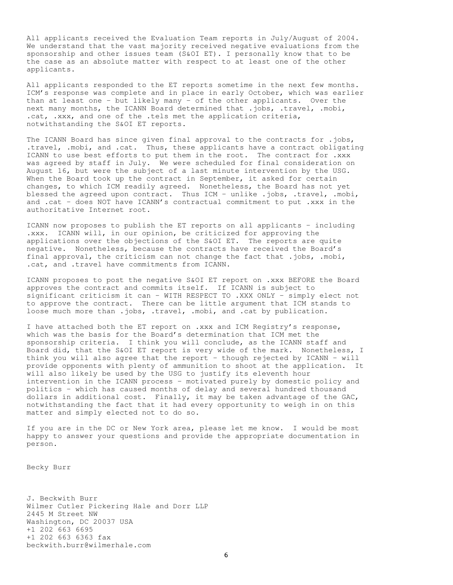All applicants received the Evaluation Team reports in July/August of 2004. We understand that the vast majority received negative evaluations from the sponsorship and other issues team (S&OI ET). I personally know that to be the case as an absolute matter with respect to at least one of the other applicants.

All applicants responded to the ET reports sometime in the next few months. ICM's response was complete and in place in early October, which was earlier than at least one - but likely many - of the other applicants. Over the next many months, the ICANN Board determined that .jobs, .travel, .mobi, .cat, .xxx, and one of the .tels met the application criteria, notwithstanding the S&OI ET reports.

The ICANN Board has since given final approval to the contracts for .jobs, .travel, .mobi, and .cat. Thus, these applicants have a contract obligating ICANN to use best efforts to put them in the root. The contract for .xxx was agreed by staff in July. We were scheduled for final consideration on August 16, but were the subject of a last minute intervention by the USG. When the Board took up the contract in September, it asked for certain changes, to which ICM readily agreed. Nonetheless, the Board has not yet blessed the agreed upon contract. Thus ICM - unlike .jobs, .travel, .mobi, and .cat - does NOT have ICANN's contractual commitment to put .xxx in the authoritative Internet root.

ICANN now proposes to publish the ET reports on all applicants - including .xxx. ICANN will, in our opinion, be criticized for approving the applications over the objections of the S&OI ET. The reports are quite negative. Nonetheless, because the contracts have received the Board's final approval, the criticism can not change the fact that .jobs, .mobi, .cat, and .travel have commitments from ICANN.

ICANN proposes to post the negative S&OI ET report on .xxx BEFORE the Board approves the contract and commits itself. If ICANN is subject to significant criticism it can - WITH RESPECT TO .XXX ONLY - simply elect not to approve the contract. There can be little argument that ICM stands to loose much more than .jobs, .travel, .mobi, and .cat by publication.

I have attached both the ET report on .xxx and ICM Registry's response, which was the basis for the Board's determination that ICM met the sponsorship criteria. I think you will conclude, as the ICANN staff and Board did, that the S&OI ET report is very wide of the mark. Nonetheless, I think you will also agree that the report - though rejected by ICANN - will provide opponents with plenty of ammunition to shoot at the application. It will also likely be used by the USG to justify its eleventh hour intervention in the ICANN process - motivated purely by domestic policy and politics - which has caused months of delay and several hundred thousand dollars in additional cost. Finally, it may be taken advantage of the GAC, notwithstanding the fact that it had every opportunity to weigh in on this matter and simply elected not to do so.

If you are in the DC or New York area, please let me know. I would be most happy to answer your questions and provide the appropriate documentation in person.

Becky Burr

J. Beckwith Burr Wilmer Cutler Pickering Hale and Dorr LLP 2445 M Street NW Washington, DC 20037 USA +1 202 663 6695 +1 202 663 6363 fax beckwith.burr@wilmerhale.com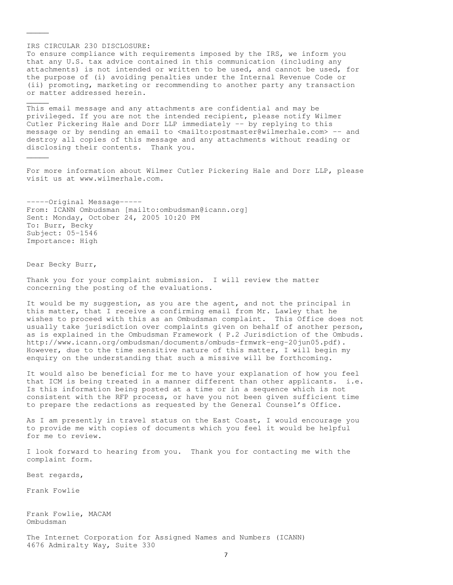IRS CIRCULAR 230 DISCLOSURE: To ensure compliance with requirements imposed by the IRS, we inform you that any U.S. tax advice contained in this communication (including any attachments) is not intended or written to be used, and cannot be used, for the purpose of (i) avoiding penalties under the Internal Revenue Code or (ii) promoting, marketing or recommending to another party any transaction or matter addressed herein.

This email message and any attachments are confidential and may be privileged. If you are not the intended recipient, please notify Wilmer Cutler Pickering Hale and Dorr LLP immediately -- by replying to this message or by sending an email to <mailto:postmaster@wilmerhale.com> -- and destroy all copies of this message and any attachments without reading or disclosing their contents. Thank you.

For more information about Wilmer Cutler Pickering Hale and Dorr LLP, please visit us at www.wilmerhale.com.

-----Original Message----- From: ICANN Ombudsman [mailto:ombudsman@icann.org] Sent: Monday, October 24, 2005 10:20 PM To: Burr, Becky Subject: 05-1546 Importance: High

Dear Becky Burr,

 $\overline{\phantom{a}}$ 

 $\overline{\phantom{a}}$ 

 $\overline{\phantom{a}}$ 

Thank you for your complaint submission. I will review the matter concerning the posting of the evaluations.

It would be my suggestion, as you are the agent, and not the principal in this matter, that I receive a confirming email from Mr. Lawley that he wishes to proceed with this as an Ombudsman complaint. This Office does not usually take jurisdiction over complaints given on behalf of another person, as is explained in the Ombudsman Framework ( P.2 Jurisdiction of the Ombuds. http://www.icann.org/ombudsman/documents/ombuds-frmwrk-eng-20jun05.pdf). However, due to the time sensitive nature of this matter, I will begin my enquiry on the understanding that such a missive will be forthcoming.

It would also be beneficial for me to have your explanation of how you feel that ICM is being treated in a manner different than other applicants. i.e. Is this information being posted at a time or in a sequence which is not consistent with the RFP process, or have you not been given sufficient time to prepare the redactions as requested by the General Counsel's Office.

As I am presently in travel status on the East Coast, I would encourage you to provide me with copies of documents which you feel it would be helpful for me to review.

I look forward to hearing from you. Thank you for contacting me with the complaint form.

Best regards,

Frank Fowlie

Frank Fowlie, MACAM Ombudsman

The Internet Corporation for Assigned Names and Numbers (ICANN) 4676 Admiralty Way, Suite 330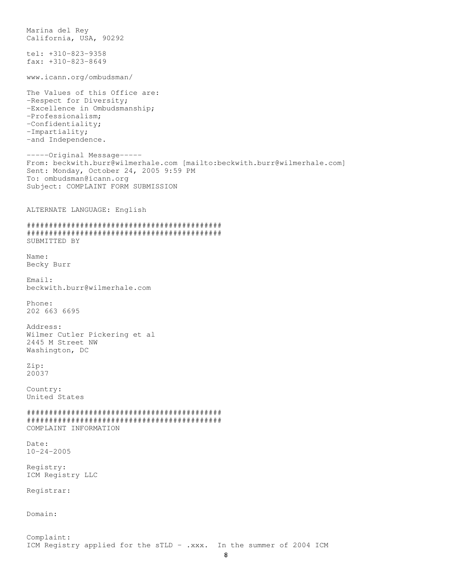Marina del Rey California, USA, 90292 tel: +310-823-9358 fax: +310-823-8649 www.icann.org/ombudsman/ The Values of this Office are: -Respect for Diversity; -Excellence in Ombudsmanship; -Professionalism; -Confidentiality; -Impartiality; -and Independence. -----Original Message----- From: beckwith.burr@wilmerhale.com [mailto:beckwith.burr@wilmerhale.com] Sent: Monday, October 24, 2005 9:59 PM To: ombudsman@icann.org Subject: COMPLAINT FORM SUBMISSION ALTERNATE LANGUAGE: English ############################################ ############################################ SUBMITTED BY Name: Becky Burr Email: beckwith.burr@wilmerhale.com Phone: 202 663 6695 Address: Wilmer Cutler Pickering et al 2445 M Street NW Washington, DC Zip: 20037 Country: United States ############################################ ############################################ COMPLAINT INFORMATION Date: 10-24-2005 Registry: ICM Registry LLC Registrar: Domain: Complaint: